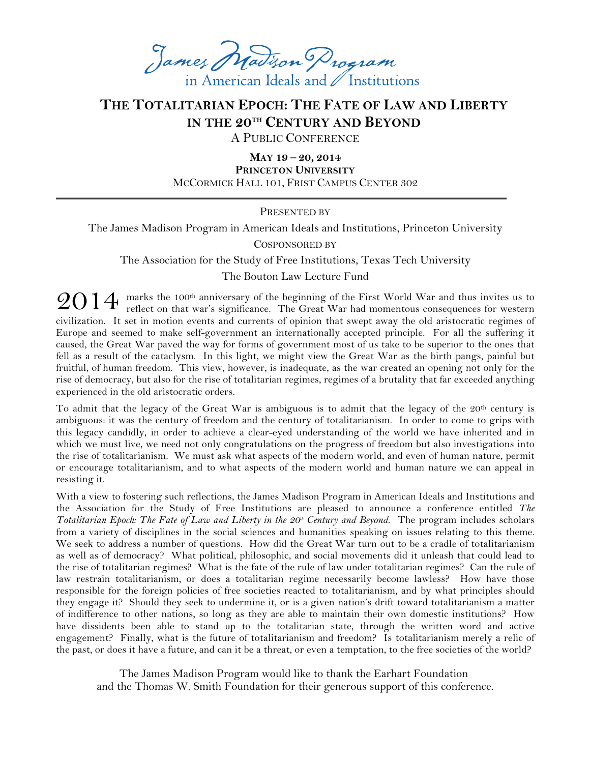James Matison Program in American Ideals and / Institutions

## **THE TOTALITARIAN EPOCH: THE FATE OF LAW AND LIBERTY IN THE 20TH CENTURY AND BEYOND**

A PUBLIC CONFERENCE

**MAY 19 – 20, 2014 PRINCETON UNIVERSITY** MCCORMICK HALL 101, FRIST CAMPUS CENTER 302

PRESENTED BY

The James Madison Program in American Ideals and Institutions, Princeton University

COSPONSORED BY

The Association for the Study of Free Institutions, Texas Tech University The Bouton Law Lecture Fund

 $2014$  marks the 100<sup>th</sup> anniversary of the beginning of the First World War and thus invites us to reflect on that war's significance. The Great War had momentous consequences for western reflect on that war's significance. The Great War had momentous consequences for western civilization. It set in motion events and currents of opinion that swept away the old aristocratic regimes of Europe and seemed to make self-government an internationally accepted principle. For all the suffering it caused, the Great War paved the way for forms of government most of us take to be superior to the ones that fell as a result of the cataclysm. In this light, we might view the Great War as the birth pangs, painful but fruitful, of human freedom. This view, however, is inadequate, as the war created an opening not only for the rise of democracy, but also for the rise of totalitarian regimes, regimes of a brutality that far exceeded anything experienced in the old aristocratic orders.

To admit that the legacy of the Great War is ambiguous is to admit that the legacy of the 20th century is ambiguous: it was the century of freedom and the century of totalitarianism. In order to come to grips with this legacy candidly, in order to achieve a clear-eyed understanding of the world we have inherited and in which we must live, we need not only congratulations on the progress of freedom but also investigations into the rise of totalitarianism. We must ask what aspects of the modern world, and even of human nature, permit or encourage totalitarianism, and to what aspects of the modern world and human nature we can appeal in resisting it.

With a view to fostering such reflections, the James Madison Program in American Ideals and Institutions and the Association for the Study of Free Institutions are pleased to announce a conference entitled *The Totalitarian Epoch: The Fate of Law and Liberty in the 20<sup>th</sup> Century and Beyond. The program includes scholars* from a variety of disciplines in the social sciences and humanities speaking on issues relating to this theme. We seek to address a number of questions. How did the Great War turn out to be a cradle of totalitarianism as well as of democracy? What political, philosophic, and social movements did it unleash that could lead to the rise of totalitarian regimes? What is the fate of the rule of law under totalitarian regimes? Can the rule of law restrain totalitarianism, or does a totalitarian regime necessarily become lawless? How have those responsible for the foreign policies of free societies reacted to totalitarianism, and by what principles should they engage it? Should they seek to undermine it, or is a given nation's drift toward totalitarianism a matter of indifference to other nations, so long as they are able to maintain their own domestic institutions? How have dissidents been able to stand up to the totalitarian state, through the written word and active engagement? Finally, what is the future of totalitarianism and freedom? Is totalitarianism merely a relic of the past, or does it have a future, and can it be a threat, or even a temptation, to the free societies of the world?

The James Madison Program would like to thank the Earhart Foundation and the Thomas W. Smith Foundation for their generous support of this conference.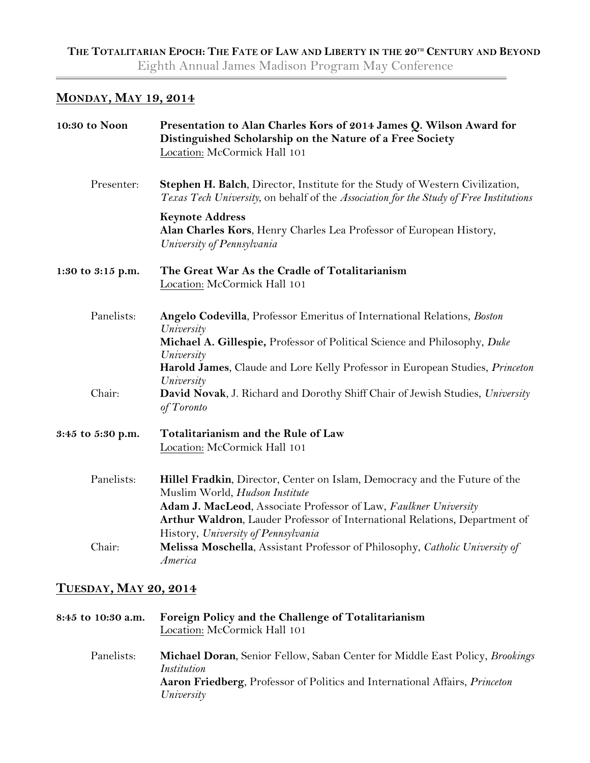## **MONDAY, MAY 19, 2014**

| 10:30 to Noon     | Presentation to Alan Charles Kors of 2014 James Q. Wilson Award for<br>Distinguished Scholarship on the Nature of a Free Society<br>Location: McCormick Hall 101                                                                                                                                      |
|-------------------|-------------------------------------------------------------------------------------------------------------------------------------------------------------------------------------------------------------------------------------------------------------------------------------------------------|
| Presenter:        | Stephen H. Balch, Director, Institute for the Study of Western Civilization,<br>Texas Tech University, on behalf of the Association for the Study of Free Institutions                                                                                                                                |
|                   | <b>Keynote Address</b><br>Alan Charles Kors, Henry Charles Lea Professor of European History,<br>University of Pennsylvania                                                                                                                                                                           |
| 1:30 to 3:15 p.m. | The Great War As the Cradle of Totalitarianism<br>Location: McCormick Hall 101                                                                                                                                                                                                                        |
| Panelists:        | Angelo Codevilla, Professor Emeritus of International Relations, Boston<br>University<br>Michael A. Gillespie, Professor of Political Science and Philosophy, Duke<br>University<br>Harold James, Claude and Lore Kelly Professor in European Studies, Princeton<br>University                        |
| Chair:            | David Novak, J. Richard and Dorothy Shiff Chair of Jewish Studies, University<br>of Toronto                                                                                                                                                                                                           |
| 3:45 to 5:30 p.m. | Totalitarianism and the Rule of Law<br>Location: McCormick Hall 101                                                                                                                                                                                                                                   |
| Panelists:        | Hillel Fradkin, Director, Center on Islam, Democracy and the Future of the<br>Muslim World, Hudson Institute<br>Adam J. MacLeod, Associate Professor of Law, Faulkner University<br>Arthur Waldron, Lauder Professor of International Relations, Department of<br>History, University of Pennsylvania |
| Chair:            | Melissa Moschella, Assistant Professor of Philosophy, Catholic University of<br>America                                                                                                                                                                                                               |

## **TUESDAY, MAY 20, 2014**

| 8:45 to 10:30 a.m. | Foreign Policy and the Challenge of Totalitarianism<br>Location: McCormick Hall 101                                                                                                             |
|--------------------|-------------------------------------------------------------------------------------------------------------------------------------------------------------------------------------------------|
| Panelists:         | <b>Michael Doran, Senior Fellow, Saban Center for Middle East Policy, Brookings</b><br>Institution<br>Aaron Friedberg, Professor of Politics and International Affairs, Princeton<br>University |